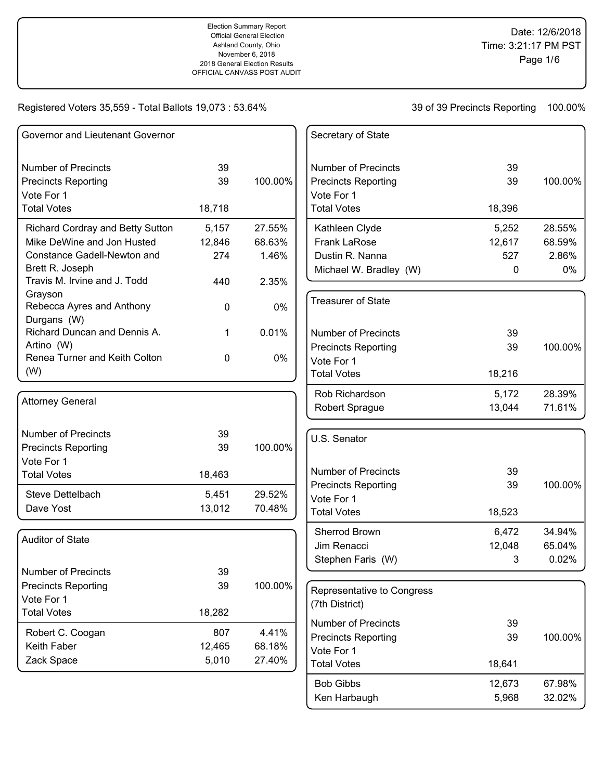Election Summary Report Official General Election Ashland County, Ohio November 6, 2018 2018 General Election Results OFFICIAL CANVASS POST AUDIT

Date: 12/6/2018 Time: 3:21:17 PM PST Page 1/6

## Registered Voters 35,559 - Total Ballots 19,073 : 53.64%

| Governor and Lieutenant Governor                |               |                 | Secretary of State               |
|-------------------------------------------------|---------------|-----------------|----------------------------------|
| <b>Number of Precincts</b>                      | 39            |                 | <b>Number of Precincts</b>       |
| <b>Precincts Reporting</b>                      | 39            | 100.00%         | <b>Precincts Reporting</b>       |
| Vote For 1<br><b>Total Votes</b>                |               |                 | Vote For 1<br><b>Total Votes</b> |
|                                                 | 18,718        |                 |                                  |
| Richard Cordray and Betty Sutton                | 5,157         | 27.55%          | Kathleen Clyde                   |
| Mike DeWine and Jon Husted                      | 12,846        | 68.63%          | <b>Frank LaRose</b>              |
| Constance Gadell-Newton and                     | 274           | 1.46%           | Dustin R. Nanna                  |
| Brett R. Joseph<br>Travis M. Irvine and J. Todd | 440           | 2.35%           | Michael W. Bradley (W)           |
| Grayson                                         |               |                 |                                  |
| Rebecca Ayres and Anthony<br>Durgans (W)        | 0             | $0\%$           | <b>Treasurer of State</b>        |
| Richard Duncan and Dennis A.                    | 1             | 0.01%           | <b>Number of Precincts</b>       |
| Artino (W)                                      |               |                 | <b>Precincts Reporting</b>       |
| Renea Turner and Keith Colton                   | 0             | $0\%$           | Vote For 1                       |
| (W)                                             |               |                 | <b>Total Votes</b>               |
|                                                 |               |                 | Rob Richardson                   |
| <b>Attorney General</b>                         |               |                 | Robert Sprague                   |
| <b>Number of Precincts</b>                      | 39            |                 | U.S. Senator                     |
| <b>Precincts Reporting</b>                      | 39            | 100.00%         |                                  |
| Vote For 1                                      |               |                 |                                  |
| <b>Total Votes</b>                              | 18,463        |                 | <b>Number of Precincts</b>       |
| Steve Dettelbach                                | 5,451         | 29.52%          | <b>Precincts Reporting</b>       |
| Dave Yost                                       | 13,012        | 70.48%          | Vote For 1<br><b>Total Votes</b> |
|                                                 |               |                 |                                  |
| <b>Auditor of State</b>                         |               |                 | Sherrod Brown                    |
|                                                 |               |                 | Jim Renacci                      |
| <b>Number of Precincts</b>                      | 39            |                 | Stephen Faris (W)                |
| <b>Precincts Reporting</b>                      | 39            | 100.00%         |                                  |
| Vote For 1                                      |               |                 | Representative to Congress       |
| <b>Total Votes</b>                              | 18,282        |                 | (7th District)                   |
|                                                 |               |                 | <b>Number of Precincts</b>       |
| Robert C. Coogan<br>Keith Faber                 | 807<br>12,465 | 4.41%<br>68.18% | <b>Precincts Reporting</b>       |
| Zack Space                                      | 5,010         | 27.40%          | Vote For 1                       |
|                                                 |               |                 | <b>Total Votes</b>               |
|                                                 |               |                 | <b>Bob Gibbs</b>                 |

| <b>Number of Precincts</b> | 39     |         |
|----------------------------|--------|---------|
| Precincts Reporting        | 39     | 100.00% |
| Vote For 1                 |        |         |
| <b>Total Votes</b>         | 18,396 |         |
| Kathleen Clyde             | 5,252  | 28.55%  |
| <b>Frank LaRose</b>        | 12,617 | 68.59%  |
| Dustin R. Nanna            | 527    | 2.86%   |
| Michael W. Bradley (W)     | 0      | 0%      |
|                            |        |         |
| <b>Treasurer of State</b>  |        |         |
| <b>Number of Precincts</b> | 39     |         |
| Precincts Reporting        | 39     | 100.00% |
| Vote For 1                 |        |         |
| <b>Total Votes</b>         | 18,216 |         |
| Rob Richardson             | 5,172  | 28.39%  |
| Robert Sprague             | 13,044 | 71.61%  |
|                            |        |         |
| U.S. Senator               |        |         |
| <b>Number of Precincts</b> | 39     |         |
| Precincts Reporting        | 39     | 100.00% |
| Vote For 1                 |        |         |
| <b>Total Votes</b>         | 18,523 |         |
| Sherrod Brown              | 6,472  | 34.94%  |
| Jim Renacci                | 12,048 | 65.04%  |
| Stephen Faris (W)          | 3      | 0.02%   |
|                            |        |         |
| Representative to Congress |        |         |

| Representative to Congress<br>(7th District) |        |         |
|----------------------------------------------|--------|---------|
| Number of Precincts                          | 39     |         |
| <b>Precincts Reporting</b>                   | 39     | 100.00% |
| Vote For 1                                   |        |         |
| <b>Total Votes</b>                           | 18.641 |         |
| <b>Bob Gibbs</b>                             | 12,673 | 67.98%  |
| Ken Harbaugh                                 | 5,968  | 32.02%  |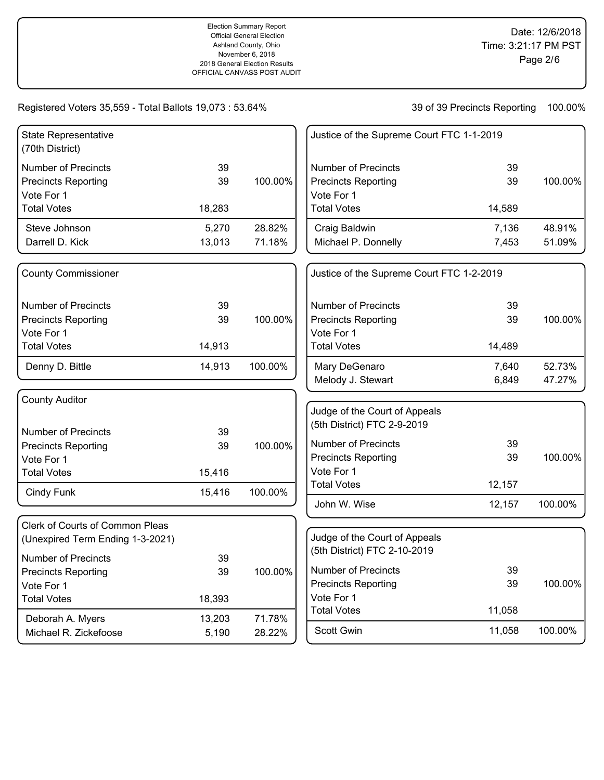| <b>State Representative</b><br>(70th District) |        |         | Justice of the Supreme Court FTC 1-1-2019 |        |         |
|------------------------------------------------|--------|---------|-------------------------------------------|--------|---------|
| <b>Number of Precincts</b>                     | 39     |         | <b>Number of Precincts</b>                | 39     |         |
| <b>Precincts Reporting</b>                     | 39     | 100.00% | <b>Precincts Reporting</b>                | 39     | 100.00% |
| Vote For 1                                     |        |         | Vote For 1                                |        |         |
| <b>Total Votes</b>                             | 18,283 |         | <b>Total Votes</b>                        | 14,589 |         |
| Steve Johnson                                  | 5,270  | 28.82%  | Craig Baldwin                             | 7,136  | 48.91%  |
| Darrell D. Kick                                | 13,013 | 71.18%  | Michael P. Donnelly                       | 7,453  | 51.09%  |
| <b>County Commissioner</b>                     |        |         | Justice of the Supreme Court FTC 1-2-2019 |        |         |
| <b>Number of Precincts</b>                     | 39     |         | <b>Number of Precincts</b>                | 39     |         |
| <b>Precincts Reporting</b>                     | 39     | 100.00% | <b>Precincts Reporting</b>                | 39     | 100.00% |
| Vote For 1                                     |        |         | Vote For 1                                |        |         |
| <b>Total Votes</b>                             | 14,913 |         | <b>Total Votes</b>                        | 14,489 |         |
| Denny D. Bittle                                | 14,913 | 100.00% | Mary DeGenaro                             | 7,640  | 52.73%  |
|                                                |        |         | Melody J. Stewart                         | 6,849  | 47.27%  |
| <b>County Auditor</b>                          |        |         |                                           |        |         |
|                                                |        |         | Judge of the Court of Appeals             |        |         |
| <b>Number of Precincts</b>                     | 39     |         | (5th District) FTC 2-9-2019               |        |         |
| <b>Precincts Reporting</b>                     | 39     | 100.00% | <b>Number of Precincts</b>                | 39     |         |
| Vote For 1                                     |        |         | <b>Precincts Reporting</b>                | 39     | 100.00% |
| <b>Total Votes</b>                             | 15,416 |         | Vote For 1                                |        |         |
| Cindy Funk                                     | 15,416 | 100.00% | <b>Total Votes</b>                        | 12,157 |         |
|                                                |        |         | John W. Wise                              | 12,157 | 100.00% |
| Clerk of Courts of Common Pleas                |        |         |                                           |        |         |
| (Unexpired Term Ending 1-3-2021)               |        |         | Judge of the Court of Appeals             |        |         |
| <b>Number of Precincts</b>                     | 39     |         | (5th District) FTC 2-10-2019              |        |         |
| <b>Precincts Reporting</b>                     | 39     | 100.00% | <b>Number of Precincts</b>                | 39     |         |
| Vote For 1                                     |        |         | <b>Precincts Reporting</b>                | 39     | 100.00% |
| <b>Total Votes</b>                             | 18,393 |         | Vote For 1                                |        |         |
|                                                | 13,203 | 71.78%  | <b>Total Votes</b>                        | 11,058 |         |
| Deborah A. Myers<br>Michael R. Zickefoose      | 5,190  | 28.22%  | <b>Scott Gwin</b>                         | 11,058 | 100.00% |
|                                                |        |         |                                           |        |         |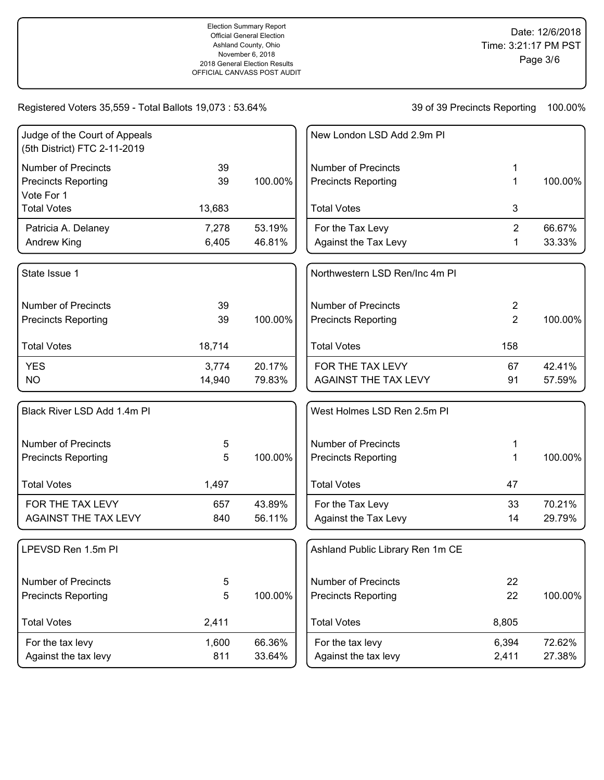| Judge of the Court of Appeals<br>(5th District) FTC 2-11-2019 |        |         | New London LSD Add 2.9m PI       |                |         |
|---------------------------------------------------------------|--------|---------|----------------------------------|----------------|---------|
| <b>Number of Precincts</b>                                    | 39     |         | <b>Number of Precincts</b>       | 1              |         |
| <b>Precincts Reporting</b><br>Vote For 1                      | 39     | 100.00% | <b>Precincts Reporting</b>       | 1              | 100.00% |
| <b>Total Votes</b>                                            | 13,683 |         | <b>Total Votes</b>               | 3              |         |
| Patricia A. Delaney                                           | 7,278  | 53.19%  | For the Tax Levy                 | $\overline{2}$ | 66.67%  |
| Andrew King                                                   | 6,405  | 46.81%  | Against the Tax Levy             | 1              | 33.33%  |
| State Issue 1                                                 |        |         | Northwestern LSD Ren/Inc 4m PI   |                |         |
| <b>Number of Precincts</b>                                    | 39     |         | <b>Number of Precincts</b>       | 2              |         |
| <b>Precincts Reporting</b>                                    | 39     | 100.00% | <b>Precincts Reporting</b>       | $\overline{2}$ | 100.00% |
| <b>Total Votes</b>                                            | 18,714 |         | <b>Total Votes</b>               | 158            |         |
| <b>YES</b>                                                    | 3,774  | 20.17%  | FOR THE TAX LEVY                 | 67             | 42.41%  |
| <b>NO</b>                                                     | 14,940 | 79.83%  | <b>AGAINST THE TAX LEVY</b>      | 91             | 57.59%  |
| Black River LSD Add 1.4m Pl                                   |        |         | West Holmes LSD Ren 2.5m PI      |                |         |
| <b>Number of Precincts</b>                                    | 5      |         | <b>Number of Precincts</b>       | 1              |         |
| <b>Precincts Reporting</b>                                    | 5      | 100.00% | <b>Precincts Reporting</b>       | 1              | 100.00% |
| <b>Total Votes</b>                                            | 1,497  |         | <b>Total Votes</b>               | 47             |         |
| FOR THE TAX LEVY                                              | 657    | 43.89%  | For the Tax Levy                 | 33             | 70.21%  |
| <b>AGAINST THE TAX LEVY</b>                                   | 840    | 56.11%  | Against the Tax Levy             | 14             | 29.79%  |
| LPEVSD Ren 1.5m PI                                            |        |         | Ashland Public Library Ren 1m CE |                |         |
| <b>Number of Precincts</b>                                    | 5      |         | Number of Precincts              | 22             |         |
| <b>Precincts Reporting</b>                                    | 5      | 100.00% | <b>Precincts Reporting</b>       | 22             | 100.00% |
| <b>Total Votes</b>                                            | 2,411  |         | <b>Total Votes</b>               | 8,805          |         |
| For the tax levy                                              | 1,600  | 66.36%  | For the tax levy                 | 6,394          | 72.62%  |
| Against the tax levy                                          | 811    | 33.64%  | Against the tax levy             | 2,411          | 27.38%  |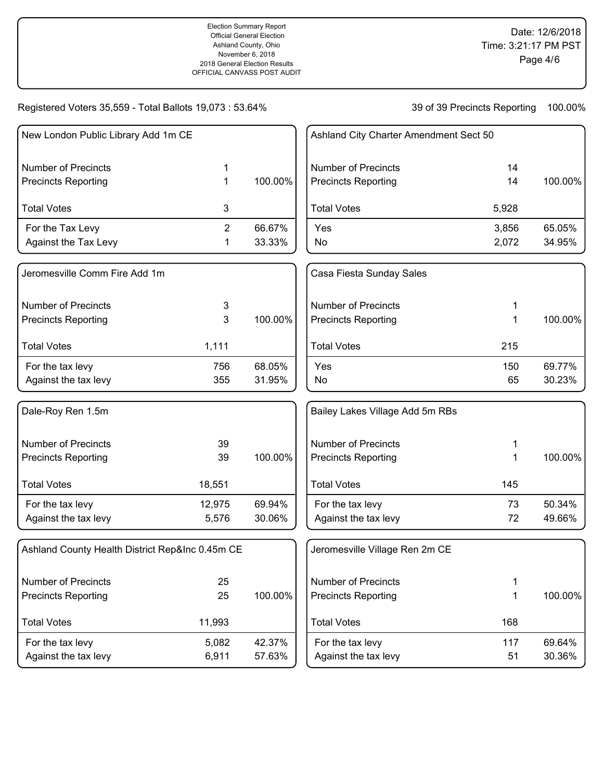100.00%

100.00%

100.00%

100.00%

#### Registered Voters 35,559 - Total Ballots 19,073 : 53.64%

| New London Public Library Add 1m CE             |                |         | Ashland City Charter Amendment Sect 50 |       |         |
|-------------------------------------------------|----------------|---------|----------------------------------------|-------|---------|
| <b>Number of Precincts</b>                      | 1              |         | <b>Number of Precincts</b>             | 14    |         |
| <b>Precincts Reporting</b>                      | 1              | 100.00% | <b>Precincts Reporting</b>             | 14    | 100.00% |
| <b>Total Votes</b>                              | 3              |         | <b>Total Votes</b>                     | 5,928 |         |
| For the Tax Levy                                | $\overline{2}$ | 66.67%  | Yes                                    | 3,856 | 65.05%  |
| Against the Tax Levy                            | 1              | 33.33%  | No                                     | 2,072 | 34.95%  |
| Jeromesville Comm Fire Add 1m                   |                |         | Casa Fiesta Sunday Sales               |       |         |
| <b>Number of Precincts</b>                      | 3              |         | <b>Number of Precincts</b>             | 1     |         |
| <b>Precincts Reporting</b>                      | 3              | 100.00% | <b>Precincts Reporting</b>             | 1     | 100.00% |
| <b>Total Votes</b>                              | 1,111          |         | <b>Total Votes</b>                     | 215   |         |
| For the tax levy                                | 756            | 68.05%  | Yes                                    | 150   | 69.77%  |
| Against the tax levy                            | 355            | 31.95%  | No                                     | 65    | 30.23%  |
| Dale-Roy Ren 1.5m                               |                |         | Bailey Lakes Village Add 5m RBs        |       |         |
| <b>Number of Precincts</b>                      | 39             |         | <b>Number of Precincts</b>             | 1     |         |
| <b>Precincts Reporting</b>                      | 39             | 100.00% | <b>Precincts Reporting</b>             | 1     | 100.00% |
| <b>Total Votes</b>                              | 18,551         |         | <b>Total Votes</b>                     | 145   |         |
| For the tax levy                                | 12,975         | 69.94%  | For the tax levy                       | 73    | 50.34%  |
| Against the tax levy                            | 5,576          | 30.06%  | Against the tax levy                   | 72    | 49.66%  |
| Ashland County Health District Rep&Inc 0.45m CE |                |         | Jeromesville Village Ren 2m CE         |       |         |
| <b>Number of Precincts</b>                      | 25             |         | <b>Number of Precincts</b>             | 1     |         |
| <b>Precincts Reporting</b>                      | 25             | 100.00% | <b>Precincts Reporting</b>             | 1     | 100.00% |
| <b>Total Votes</b>                              | 11,993         |         | <b>Total Votes</b>                     | 168   |         |
| For the tax levy                                | 5,082          | 42.37%  | For the tax levy                       | 117   | 69.64%  |
| Against the tax levy                            | 6,911          | 57.63%  | Against the tax levy                   | 51    | 30.36%  |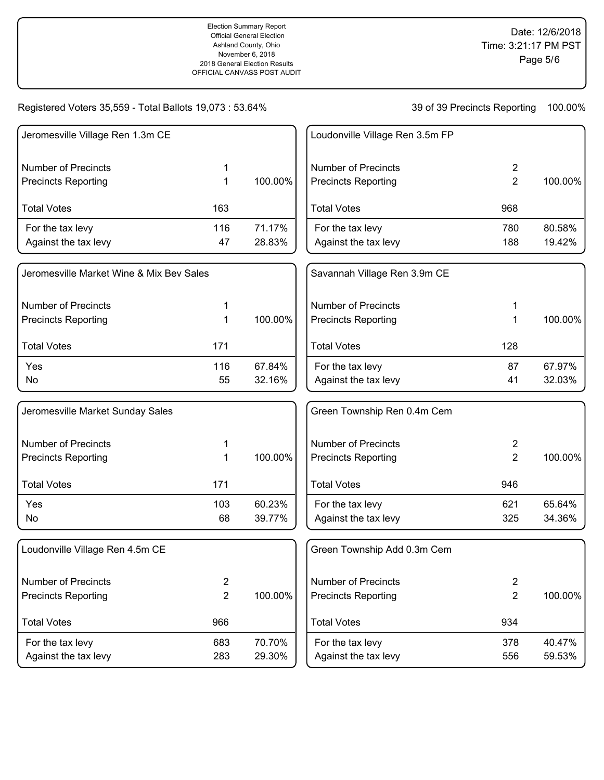| Jeromesville Village Ren 1.3m CE         |                |         | Loudonville Village Ren 3.5m FP |                |         |
|------------------------------------------|----------------|---------|---------------------------------|----------------|---------|
| <b>Number of Precincts</b>               | 1              |         | <b>Number of Precincts</b>      | $\overline{2}$ |         |
| <b>Precincts Reporting</b>               | 1              | 100.00% | <b>Precincts Reporting</b>      | $\overline{2}$ | 100.00% |
| <b>Total Votes</b>                       | 163            |         | <b>Total Votes</b>              | 968            |         |
| For the tax levy                         | 116            | 71.17%  | For the tax levy                | 780            | 80.58%  |
| Against the tax levy                     | 47             | 28.83%  | Against the tax levy            | 188            | 19.42%  |
| Jeromesville Market Wine & Mix Bev Sales |                |         | Savannah Village Ren 3.9m CE    |                |         |
| <b>Number of Precincts</b>               | 1              |         | <b>Number of Precincts</b>      |                |         |
| <b>Precincts Reporting</b>               | 1              | 100.00% | <b>Precincts Reporting</b>      | 1              | 100.00% |
| <b>Total Votes</b>                       | 171            |         | <b>Total Votes</b>              | 128            |         |
| Yes                                      | 116            | 67.84%  | For the tax levy                | 87             | 67.97%  |
| No                                       | 55             | 32.16%  | Against the tax levy            | 41             | 32.03%  |
| Jeromesville Market Sunday Sales         |                |         | Green Township Ren 0.4m Cem     |                |         |
| <b>Number of Precincts</b>               | 1              |         | <b>Number of Precincts</b>      | 2              |         |
| <b>Precincts Reporting</b>               | 1              | 100.00% | <b>Precincts Reporting</b>      | $\overline{2}$ | 100.00% |
| <b>Total Votes</b>                       | 171            |         | <b>Total Votes</b>              | 946            |         |
| Yes                                      | 103            | 60.23%  | For the tax levy                | 621            | 65.64%  |
| No                                       | 68             | 39.77%  | Against the tax levy            | 325            | 34.36%  |
| Loudonville Village Ren 4.5m CE          |                |         | Green Township Add 0.3m Cem     |                |         |
| <b>Number of Precincts</b>               | $\overline{2}$ |         | <b>Number of Precincts</b>      | $\overline{2}$ |         |
| <b>Precincts Reporting</b>               | $\overline{2}$ | 100.00% | <b>Precincts Reporting</b>      | $\overline{2}$ | 100.00% |
| <b>Total Votes</b>                       | 966            |         | <b>Total Votes</b>              | 934            |         |
| For the tax levy                         | 683            | 70.70%  | For the tax levy                | 378            | 40.47%  |
| Against the tax levy                     | 283            | 29.30%  | Against the tax levy            | 556            | 59.53%  |